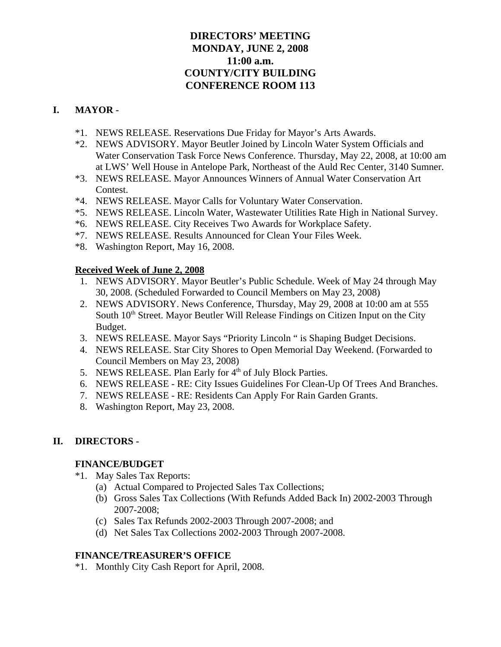# **DIRECTORS' MEETING MONDAY, JUNE 2, 2008 11:00 a.m. COUNTY/CITY BUILDING CONFERENCE ROOM 113**

# **I. MAYOR -**

- \*1. NEWS RELEASE. Reservations Due Friday for Mayor's Arts Awards.
- \*2. NEWS ADVISORY. Mayor Beutler Joined by Lincoln Water System Officials and Water Conservation Task Force News Conference. Thursday, May 22, 2008, at 10:00 am at LWS' Well House in Antelope Park, Northeast of the Auld Rec Center, 3140 Sumner.
- \*3. NEWS RELEASE. Mayor Announces Winners of Annual Water Conservation Art Contest.
- \*4. NEWS RELEASE. Mayor Calls for Voluntary Water Conservation.
- \*5. NEWS RELEASE. Lincoln Water, Wastewater Utilities Rate High in National Survey.
- \*6. NEWS RELEASE. City Receives Two Awards for Workplace Safety.
- \*7. NEWS RELEASE. Results Announced for Clean Your Files Week.
- \*8. Washington Report, May 16, 2008.

# **Received Week of June 2, 2008**

- 1. NEWS ADVISORY. Mayor Beutler's Public Schedule. Week of May 24 through May 30, 2008. (Scheduled Forwarded to Council Members on May 23, 2008)
- 2. NEWS ADVISORY. News Conference, Thursday, May 29, 2008 at 10:00 am at 555 South  $10<sup>th</sup>$  Street. Mayor Beutler Will Release Findings on Citizen Input on the City Budget.
- 3. NEWS RELEASE. Mayor Says "Priority Lincoln " is Shaping Budget Decisions.
- 4. NEWS RELEASE. Star City Shores to Open Memorial Day Weekend. (Forwarded to Council Members on May 23, 2008)
- 5. NEWS RELEASE. Plan Early for 4<sup>th</sup> of July Block Parties.
- 6. NEWS RELEASE RE: City Issues Guidelines For Clean-Up Of Trees And Branches.
- 7. NEWS RELEASE RE: Residents Can Apply For Rain Garden Grants.
- 8. Washington Report, May 23, 2008.

# **II. DIRECTORS -**

## **FINANCE/BUDGET**

- \*1. May Sales Tax Reports:
	- (a) Actual Compared to Projected Sales Tax Collections;
	- (b) Gross Sales Tax Collections (With Refunds Added Back In) 2002-2003 Through 2007-2008;
	- (c) Sales Tax Refunds 2002-2003 Through 2007-2008; and
	- (d) Net Sales Tax Collections 2002-2003 Through 2007-2008.

## **FINANCE/TREASURER'S OFFICE**

\*1. Monthly City Cash Report for April, 2008.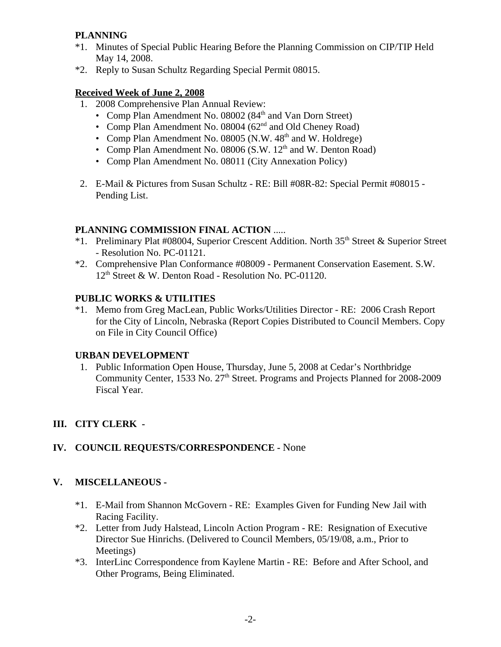# **PLANNING**

- \*1. Minutes of Special Public Hearing Before the Planning Commission on CIP/TIP Held May 14, 2008.
- \*2. Reply to Susan Schultz Regarding Special Permit 08015.

## **Received Week of June 2, 2008**

- 1. 2008 Comprehensive Plan Annual Review:
	- Comp Plan Amendment No. 08002 (84<sup>th</sup> and Van Dorn Street)
	- Comp Plan Amendment No. 08004 (62<sup>nd</sup> and Old Cheney Road)
	- Comp Plan Amendment No. 08005 (N.W.  $48<sup>th</sup>$  and W. Holdrege)
	- Comp Plan Amendment No. 08006 (S.W.  $12<sup>th</sup>$  and W. Denton Road)
	- Comp Plan Amendment No. 08011 (City Annexation Policy)
- 2. E-Mail & Pictures from Susan Schultz RE: Bill #08R-82: Special Permit #08015 Pending List.

## **PLANNING COMMISSION FINAL ACTION** .....

- \*1. Preliminary Plat #08004, Superior Crescent Addition. North  $35<sup>th</sup>$  Street & Superior Street - Resolution No. PC-01121.
- \*2. Comprehensive Plan Conformance #08009 Permanent Conservation Easement. S.W. 12<sup>th</sup> Street & W. Denton Road - Resolution No. PC-01120.

## **PUBLIC WORKS & UTILITIES**

\*1. Memo from Greg MacLean, Public Works/Utilities Director - RE: 2006 Crash Report for the City of Lincoln, Nebraska (Report Copies Distributed to Council Members. Copy on File in City Council Office)

## **URBAN DEVELOPMENT**

 1. Public Information Open House, Thursday, June 5, 2008 at Cedar's Northbridge Community Center, 1533 No.  $27<sup>th</sup>$  Street. Programs and Projects Planned for 2008-2009 Fiscal Year.

# **III. CITY CLERK -**

# **IV. COUNCIL REQUESTS/CORRESPONDENCE -** None

## **V. MISCELLANEOUS -**

- \*1. E-Mail from Shannon McGovern RE: Examples Given for Funding New Jail with Racing Facility.
- \*2. Letter from Judy Halstead, Lincoln Action Program RE: Resignation of Executive Director Sue Hinrichs. (Delivered to Council Members, 05/19/08, a.m., Prior to Meetings)
- \*3. InterLinc Correspondence from Kaylene Martin RE: Before and After School, and Other Programs, Being Eliminated.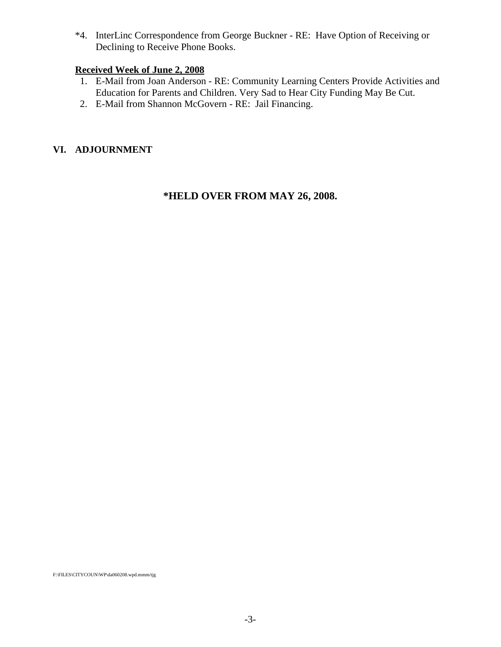\*4. InterLinc Correspondence from George Buckner - RE: Have Option of Receiving or Declining to Receive Phone Books.

## **Received Week of June 2, 2008**

- 1. E-Mail from Joan Anderson RE: Community Learning Centers Provide Activities and Education for Parents and Children. Very Sad to Hear City Funding May Be Cut.
- 2. E-Mail from Shannon McGovern RE: Jail Financing.

## **VI. ADJOURNMENT**

## **\*HELD OVER FROM MAY 26, 2008.**

F:\FILES\CITYCOUN\WP\da060208.wpd.mmm/tjg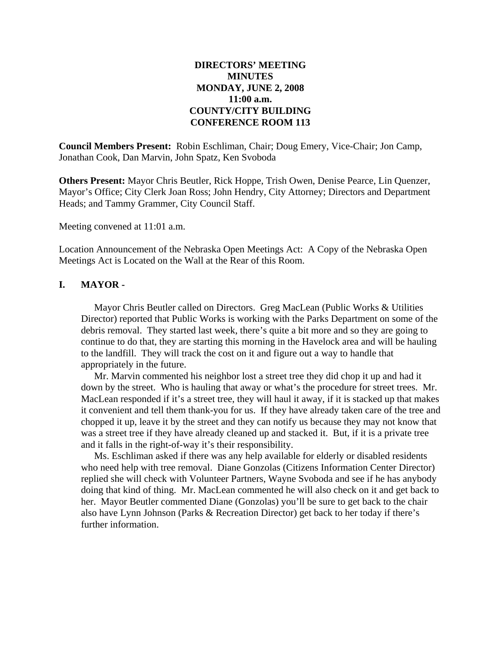### **DIRECTORS' MEETING MINUTES MONDAY, JUNE 2, 2008 11:00 a.m. COUNTY/CITY BUILDING CONFERENCE ROOM 113**

**Council Members Present:** Robin Eschliman, Chair; Doug Emery, Vice-Chair; Jon Camp, Jonathan Cook, Dan Marvin, John Spatz, Ken Svoboda

**Others Present:** Mayor Chris Beutler, Rick Hoppe, Trish Owen, Denise Pearce, Lin Quenzer, Mayor's Office; City Clerk Joan Ross; John Hendry, City Attorney; Directors and Department Heads; and Tammy Grammer, City Council Staff.

Meeting convened at 11:01 a.m.

Location Announcement of the Nebraska Open Meetings Act: A Copy of the Nebraska Open Meetings Act is Located on the Wall at the Rear of this Room.

#### **I. MAYOR -**

Mayor Chris Beutler called on Directors. Greg MacLean (Public Works & Utilities Director) reported that Public Works is working with the Parks Department on some of the debris removal. They started last week, there's quite a bit more and so they are going to continue to do that, they are starting this morning in the Havelock area and will be hauling to the landfill. They will track the cost on it and figure out a way to handle that appropriately in the future.

Mr. Marvin commented his neighbor lost a street tree they did chop it up and had it down by the street. Who is hauling that away or what's the procedure for street trees. Mr. MacLean responded if it's a street tree, they will haul it away, if it is stacked up that makes it convenient and tell them thank-you for us. If they have already taken care of the tree and chopped it up, leave it by the street and they can notify us because they may not know that was a street tree if they have already cleaned up and stacked it. But, if it is a private tree and it falls in the right-of-way it's their responsibility.

Ms. Eschliman asked if there was any help available for elderly or disabled residents who need help with tree removal. Diane Gonzolas (Citizens Information Center Director) replied she will check with Volunteer Partners, Wayne Svoboda and see if he has anybody doing that kind of thing. Mr. MacLean commented he will also check on it and get back to her. Mayor Beutler commented Diane (Gonzolas) you'll be sure to get back to the chair also have Lynn Johnson (Parks & Recreation Director) get back to her today if there's further information.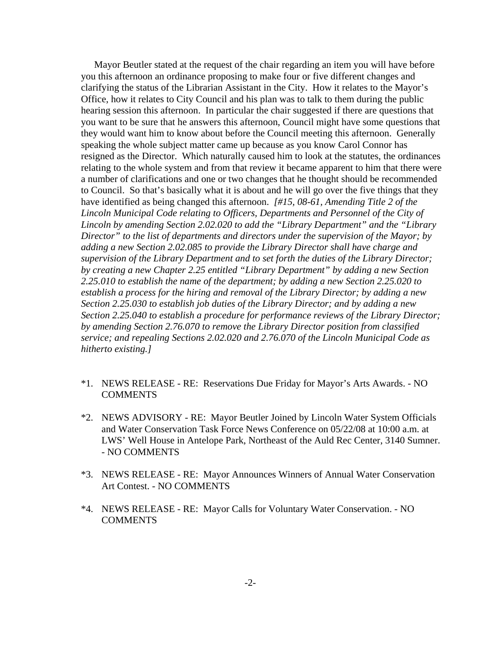Mayor Beutler stated at the request of the chair regarding an item you will have before you this afternoon an ordinance proposing to make four or five different changes and clarifying the status of the Librarian Assistant in the City. How it relates to the Mayor's Office, how it relates to City Council and his plan was to talk to them during the public hearing session this afternoon. In particular the chair suggested if there are questions that you want to be sure that he answers this afternoon, Council might have some questions that they would want him to know about before the Council meeting this afternoon. Generally speaking the whole subject matter came up because as you know Carol Connor has resigned as the Director. Which naturally caused him to look at the statutes, the ordinances relating to the whole system and from that review it became apparent to him that there were a number of clarifications and one or two changes that he thought should be recommended to Council. So that's basically what it is about and he will go over the five things that they have identified as being changed this afternoon. *[#15, 08-61, Amending Title 2 of the Lincoln Municipal Code relating to Officers, Departments and Personnel of the City of Lincoln by amending Section 2.02.020 to add the "Library Department" and the "Library Director" to the list of departments and directors under the supervision of the Mayor; by adding a new Section 2.02.085 to provide the Library Director shall have charge and supervision of the Library Department and to set forth the duties of the Library Director; by creating a new Chapter 2.25 entitled "Library Department" by adding a new Section 2.25.010 to establish the name of the department; by adding a new Section 2.25.020 to establish a process for the hiring and removal of the Library Director; by adding a new Section 2.25.030 to establish job duties of the Library Director; and by adding a new Section 2.25.040 to establish a procedure for performance reviews of the Library Director; by amending Section 2.76.070 to remove the Library Director position from classified service; and repealing Sections 2.02.020 and 2.76.070 of the Lincoln Municipal Code as hitherto existing.]*

- \*1. NEWS RELEASE RE: Reservations Due Friday for Mayor's Arts Awards. NO COMMENTS
- \*2. NEWS ADVISORY RE: Mayor Beutler Joined by Lincoln Water System Officials and Water Conservation Task Force News Conference on 05/22/08 at 10:00 a.m. at LWS' Well House in Antelope Park, Northeast of the Auld Rec Center, 3140 Sumner. - NO COMMENTS
- \*3. NEWS RELEASE RE: Mayor Announces Winners of Annual Water Conservation Art Contest. - NO COMMENTS
- \*4. NEWS RELEASE RE: Mayor Calls for Voluntary Water Conservation. NO COMMENTS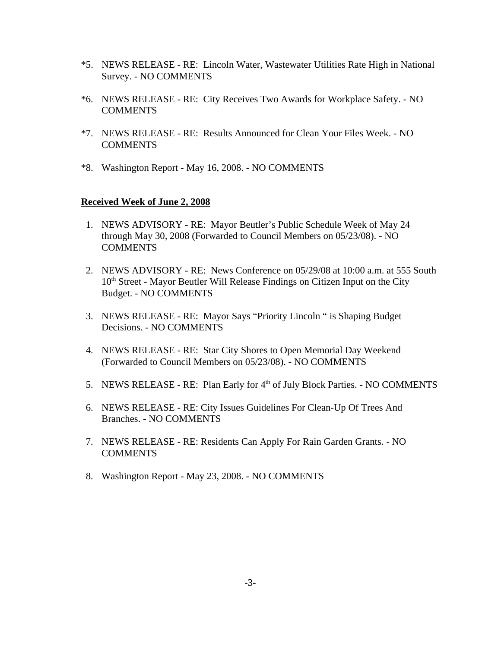- \*5. NEWS RELEASE RE: Lincoln Water, Wastewater Utilities Rate High in National Survey. - NO COMMENTS
- \*6. NEWS RELEASE RE: City Receives Two Awards for Workplace Safety. NO COMMENTS
- \*7. NEWS RELEASE RE: Results Announced for Clean Your Files Week. NO COMMENTS
- \*8. Washington Report May 16, 2008. NO COMMENTS

#### **Received Week of June 2, 2008**

- 1. NEWS ADVISORY RE: Mayor Beutler's Public Schedule Week of May 24 through May 30, 2008 (Forwarded to Council Members on 05/23/08). - NO **COMMENTS**
- 2. NEWS ADVISORY RE: News Conference on 05/29/08 at 10:00 a.m. at 555 South  $10<sup>th</sup>$  Street - Mayor Beutler Will Release Findings on Citizen Input on the City Budget. - NO COMMENTS
- 3. NEWS RELEASE RE: Mayor Says "Priority Lincoln " is Shaping Budget Decisions. - NO COMMENTS
- 4. NEWS RELEASE RE: Star City Shores to Open Memorial Day Weekend (Forwarded to Council Members on 05/23/08). - NO COMMENTS
- 5. NEWS RELEASE RE: Plan Early for 4<sup>th</sup> of July Block Parties. NO COMMENTS
- 6. NEWS RELEASE RE: City Issues Guidelines For Clean-Up Of Trees And Branches. - NO COMMENTS
- 7. NEWS RELEASE RE: Residents Can Apply For Rain Garden Grants. NO COMMENTS
- 8. Washington Report May 23, 2008. NO COMMENTS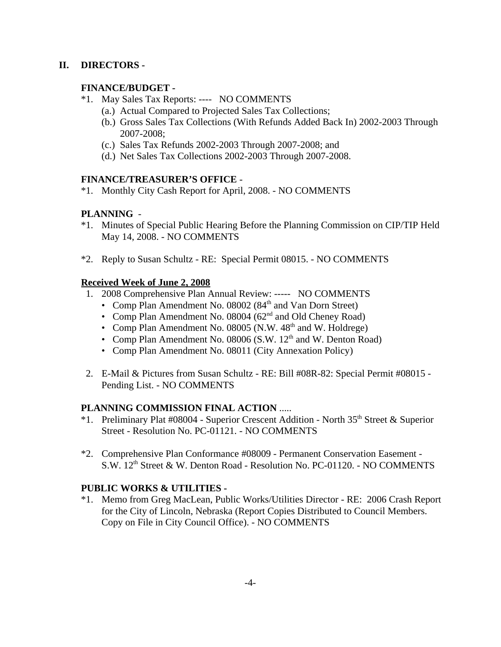### **II. DIRECTORS -**

## **FINANCE/BUDGET -**

- \*1. May Sales Tax Reports: ---- NO COMMENTS
	- (a.) Actual Compared to Projected Sales Tax Collections;
	- (b.) Gross Sales Tax Collections (With Refunds Added Back In) 2002-2003 Through 2007-2008;
	- (c.) Sales Tax Refunds 2002-2003 Through 2007-2008; and
	- (d.) Net Sales Tax Collections 2002-2003 Through 2007-2008.

#### **FINANCE/TREASURER'S OFFICE** -

\*1. Monthly City Cash Report for April, 2008. - NO COMMENTS

## **PLANNING** -

- \*1. Minutes of Special Public Hearing Before the Planning Commission on CIP/TIP Held May 14, 2008. - NO COMMENTS
- \*2. Reply to Susan Schultz RE: Special Permit 08015. NO COMMENTS

#### **Received Week of June 2, 2008**

- 1. 2008 Comprehensive Plan Annual Review: ----- NO COMMENTS
	- Comp Plan Amendment No. 08002 ( $84<sup>th</sup>$  and Van Dorn Street)
	- Comp Plan Amendment No. 08004 (62<sup>nd</sup> and Old Cheney Road)
	- Comp Plan Amendment No. 08005 (N.W.  $48<sup>th</sup>$  and W. Holdrege)
	- Comp Plan Amendment No. 08006 (S.W.  $12<sup>th</sup>$  and W. Denton Road)
	- Comp Plan Amendment No. 08011 (City Annexation Policy)
- 2. E-Mail & Pictures from Susan Schultz RE: Bill #08R-82: Special Permit #08015 Pending List. - NO COMMENTS

#### **PLANNING COMMISSION FINAL ACTION** .....

- \*1. Preliminary Plat #08004 Superior Crescent Addition North  $35<sup>th</sup>$  Street & Superior Street - Resolution No. PC-01121. - NO COMMENTS
- \*2. Comprehensive Plan Conformance #08009 Permanent Conservation Easement S.W. 12<sup>th</sup> Street & W. Denton Road - Resolution No. PC-01120. - NO COMMENTS

## **PUBLIC WORKS & UTILITIES -**

\*1. Memo from Greg MacLean, Public Works/Utilities Director - RE: 2006 Crash Report for the City of Lincoln, Nebraska (Report Copies Distributed to Council Members. Copy on File in City Council Office). - NO COMMENTS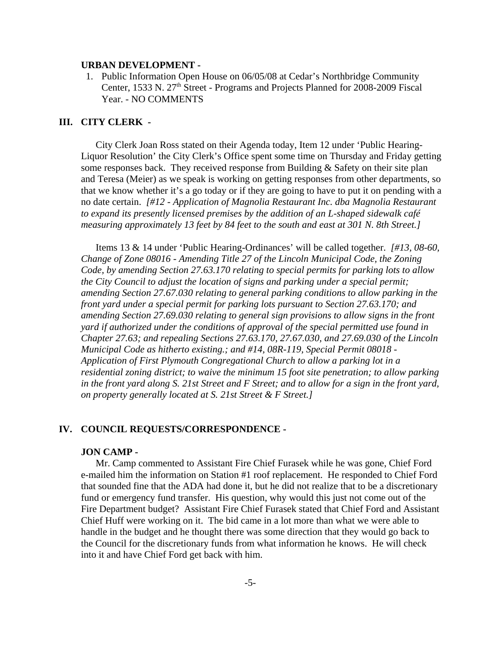#### **URBAN DEVELOPMENT -**

 1. Public Information Open House on 06/05/08 at Cedar's Northbridge Community Center, 1533 N. 27<sup>th</sup> Street - Programs and Projects Planned for 2008-2009 Fiscal Year. - NO COMMENTS

#### **III. CITY CLERK -**

City Clerk Joan Ross stated on their Agenda today, Item 12 under 'Public Hearing-Liquor Resolution' the City Clerk's Office spent some time on Thursday and Friday getting some responses back. They received response from Building & Safety on their site plan and Teresa (Meier) as we speak is working on getting responses from other departments, so that we know whether it's a go today or if they are going to have to put it on pending with a no date certain. *[#12 - Application of Magnolia Restaurant Inc. dba Magnolia Restaurant to expand its presently licensed premises by the addition of an L-shaped sidewalk café measuring approximately 13 feet by 84 feet to the south and east at 301 N. 8th Street.]* 

Items 13 & 14 under 'Public Hearing-Ordinances' will be called together. *[#13, 08-60, Change of Zone 08016 - Amending Title 27 of the Lincoln Municipal Code, the Zoning Code, by amending Section 27.63.170 relating to special permits for parking lots to allow the City Council to adjust the location of signs and parking under a special permit; amending Section 27.67.030 relating to general parking conditions to allow parking in the front yard under a special permit for parking lots pursuant to Section 27.63.170; and amending Section 27.69.030 relating to general sign provisions to allow signs in the front yard if authorized under the conditions of approval of the special permitted use found in Chapter 27.63; and repealing Sections 27.63.170, 27.67.030, and 27.69.030 of the Lincoln Municipal Code as hitherto existing.; and #14, 08R-119, Special Permit 08018 - Application of First Plymouth Congregational Church to allow a parking lot in a residential zoning district; to waive the minimum 15 foot site penetration; to allow parking in the front yard along S. 21st Street and F Street; and to allow for a sign in the front yard, on property generally located at S. 21st Street & F Street.]* 

#### **IV. COUNCIL REQUESTS/CORRESPONDENCE -**

#### **JON CAMP -**

Mr. Camp commented to Assistant Fire Chief Furasek while he was gone, Chief Ford e-mailed him the information on Station #1 roof replacement. He responded to Chief Ford that sounded fine that the ADA had done it, but he did not realize that to be a discretionary fund or emergency fund transfer. His question, why would this just not come out of the Fire Department budget? Assistant Fire Chief Furasek stated that Chief Ford and Assistant Chief Huff were working on it. The bid came in a lot more than what we were able to handle in the budget and he thought there was some direction that they would go back to the Council for the discretionary funds from what information he knows. He will check into it and have Chief Ford get back with him.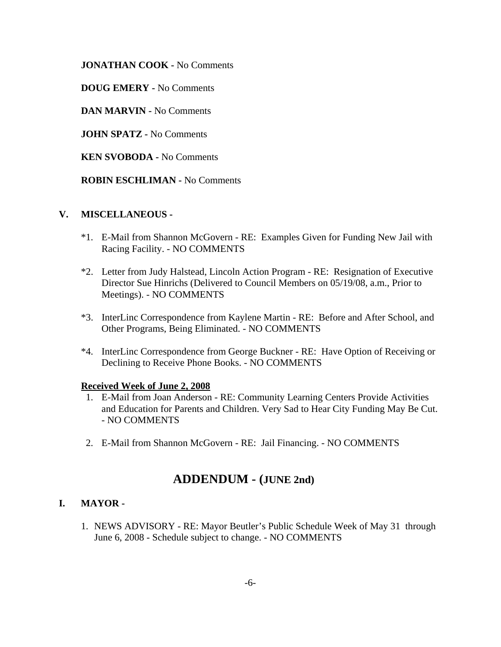**JONATHAN COOK -** No Comments

**DOUG EMERY -** No Comments

**DAN MARVIN -** No Comments

**JOHN SPATZ -** No Comments

**KEN SVOBODA -** No Comments

**ROBIN ESCHLIMAN -** No Comments

#### **V. MISCELLANEOUS -**

- \*1. E-Mail from Shannon McGovern RE: Examples Given for Funding New Jail with Racing Facility. - NO COMMENTS
- \*2. Letter from Judy Halstead, Lincoln Action Program RE: Resignation of Executive Director Sue Hinrichs (Delivered to Council Members on 05/19/08, a.m., Prior to Meetings). - NO COMMENTS
- \*3. InterLinc Correspondence from Kaylene Martin RE: Before and After School, and Other Programs, Being Eliminated. - NO COMMENTS
- \*4. InterLinc Correspondence from George Buckner RE: Have Option of Receiving or Declining to Receive Phone Books. - NO COMMENTS

#### **Received Week of June 2, 2008**

- 1. E-Mail from Joan Anderson RE: Community Learning Centers Provide Activities and Education for Parents and Children. Very Sad to Hear City Funding May Be Cut. - NO COMMENTS
- 2. E-Mail from Shannon McGovern RE: Jail Financing. NO COMMENTS

# **ADDENDUM - (JUNE 2nd)**

#### **I. MAYOR -**

1. NEWS ADVISORY - RE: Mayor Beutler's Public Schedule Week of May 31 through June 6, 2008 - Schedule subject to change. - NO COMMENTS